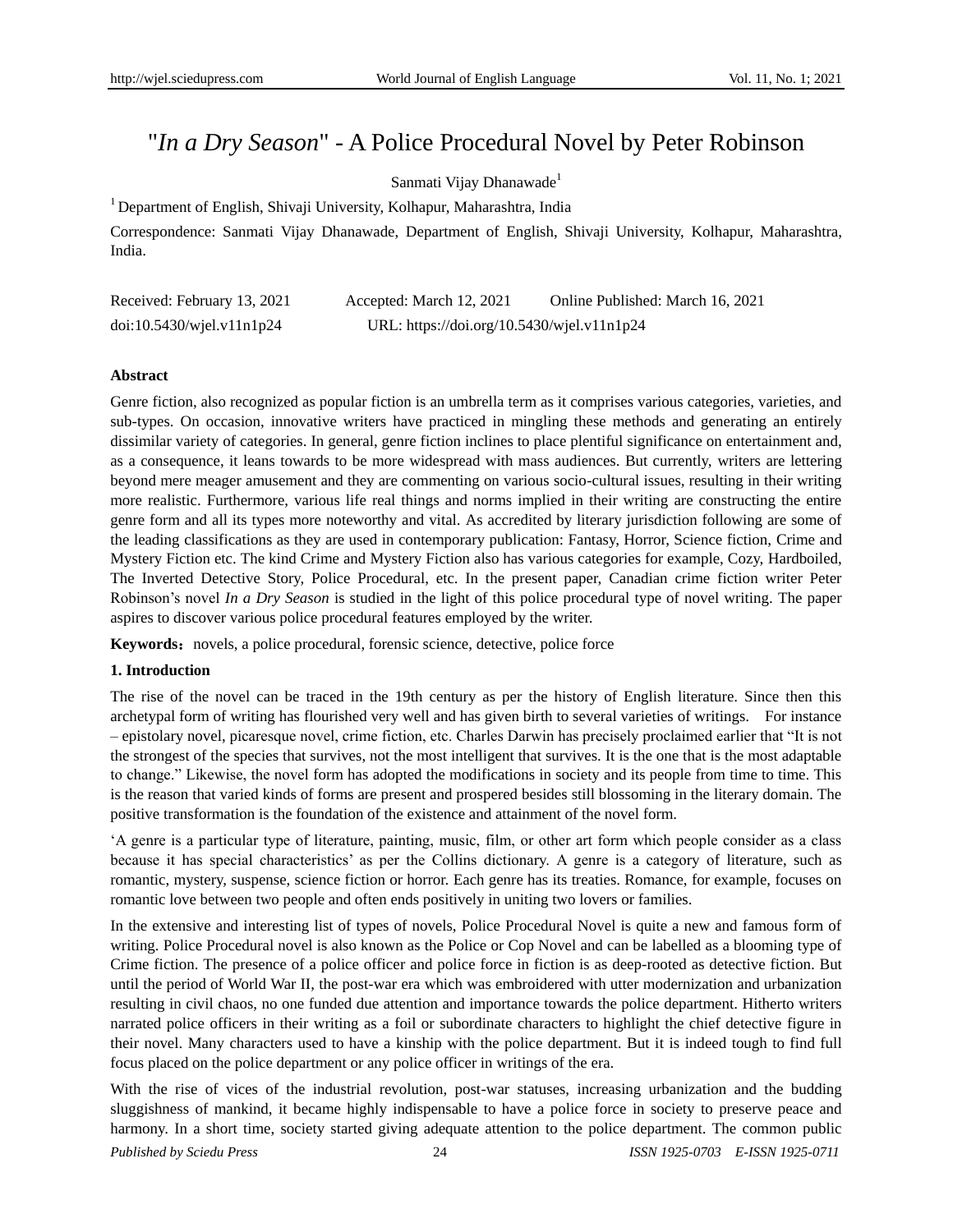# "*In a Dry Season*" - A Police Procedural Novel by Peter Robinson

### Sanmati Vijay Dhanawade<sup>1</sup>

<sup>1</sup> Department of English, Shivaji University, Kolhapur, Maharashtra, India

Correspondence: Sanmati Vijay Dhanawade, Department of English, Shivaji University, Kolhapur, Maharashtra, India.

| Received: February 13, 2021     | Accepted: March 12, 2021                   | Online Published: March 16, 2021 |
|---------------------------------|--------------------------------------------|----------------------------------|
| $doi:10.5430/w$ jel.v $11n1p24$ | URL: https://doi.org/10.5430/wjel.v11n1p24 |                                  |

#### **Abstract**

Genre fiction, also recognized as popular fiction is an umbrella term as it comprises various categories, varieties, and sub-types. On occasion, innovative writers have practiced in mingling these methods and generating an entirely dissimilar variety of categories. In general, genre fiction inclines to place plentiful significance on entertainment and, as a consequence, it leans towards to be more widespread with mass audiences. But currently, writers are lettering beyond mere meager amusement and they are commenting on various socio-cultural issues, resulting in their writing more realistic. Furthermore, various life real things and norms implied in their writing are constructing the entire genre form and all its types more noteworthy and vital. As accredited by literary jurisdiction following are some of the leading classifications as they are used in contemporary publication: Fantasy, Horror, Science fiction, Crime and Mystery Fiction etc. The kind Crime and Mystery Fiction also has various categories for example, Cozy, Hardboiled, The Inverted Detective Story, Police Procedural, etc. In the present paper, Canadian crime fiction writer Peter Robinson"s novel *In a Dry Season* is studied in the light of this police procedural type of novel writing. The paper aspires to discover various police procedural features employed by the writer.

**Keywords:** novels, a police procedural, forensic science, detective, police force

#### **1. Introduction**

The rise of the novel can be traced in the 19th century as per the history of English literature. Since then this archetypal form of writing has flourished very well and has given birth to several varieties of writings. For instance – epistolary novel, picaresque novel, crime fiction, etc. Charles Darwin has precisely proclaimed earlier that "It is not the strongest of the species that survives, not the most intelligent that survives. It is the one that is the most adaptable to change." Likewise, the novel form has adopted the modifications in society and its people from time to time. This is the reason that varied kinds of forms are present and prospered besides still blossoming in the literary domain. The positive transformation is the foundation of the existence and attainment of the novel form.

"A genre is a particular type of literature, painting, music, film, or other art form which people consider as a class because it has special characteristics" as per the Collins dictionary. A genre is a category of literature, such as romantic, mystery, suspense, science fiction or horror. Each genre has its treaties. Romance, for example, focuses on romantic love between two people and often ends positively in uniting two lovers or families.

In the extensive and interesting list of types of novels, Police Procedural Novel is quite a new and famous form of writing. Police Procedural novel is also known as the Police or Cop Novel and can be labelled as a blooming type of Crime fiction. The presence of a police officer and police force in fiction is as deep-rooted as detective fiction. But until the period of World War II, the post-war era which was embroidered with utter modernization and urbanization resulting in civil chaos, no one funded due attention and importance towards the police department. Hitherto writers narrated police officers in their writing as a foil or subordinate characters to highlight the chief detective figure in their novel. Many characters used to have a kinship with the police department. But it is indeed tough to find full focus placed on the police department or any police officer in writings of the era.

With the rise of vices of the industrial revolution, post-war statuses, increasing urbanization and the budding sluggishness of mankind, it became highly indispensable to have a police force in society to preserve peace and harmony. In a short time, society started giving adequate attention to the police department. The common public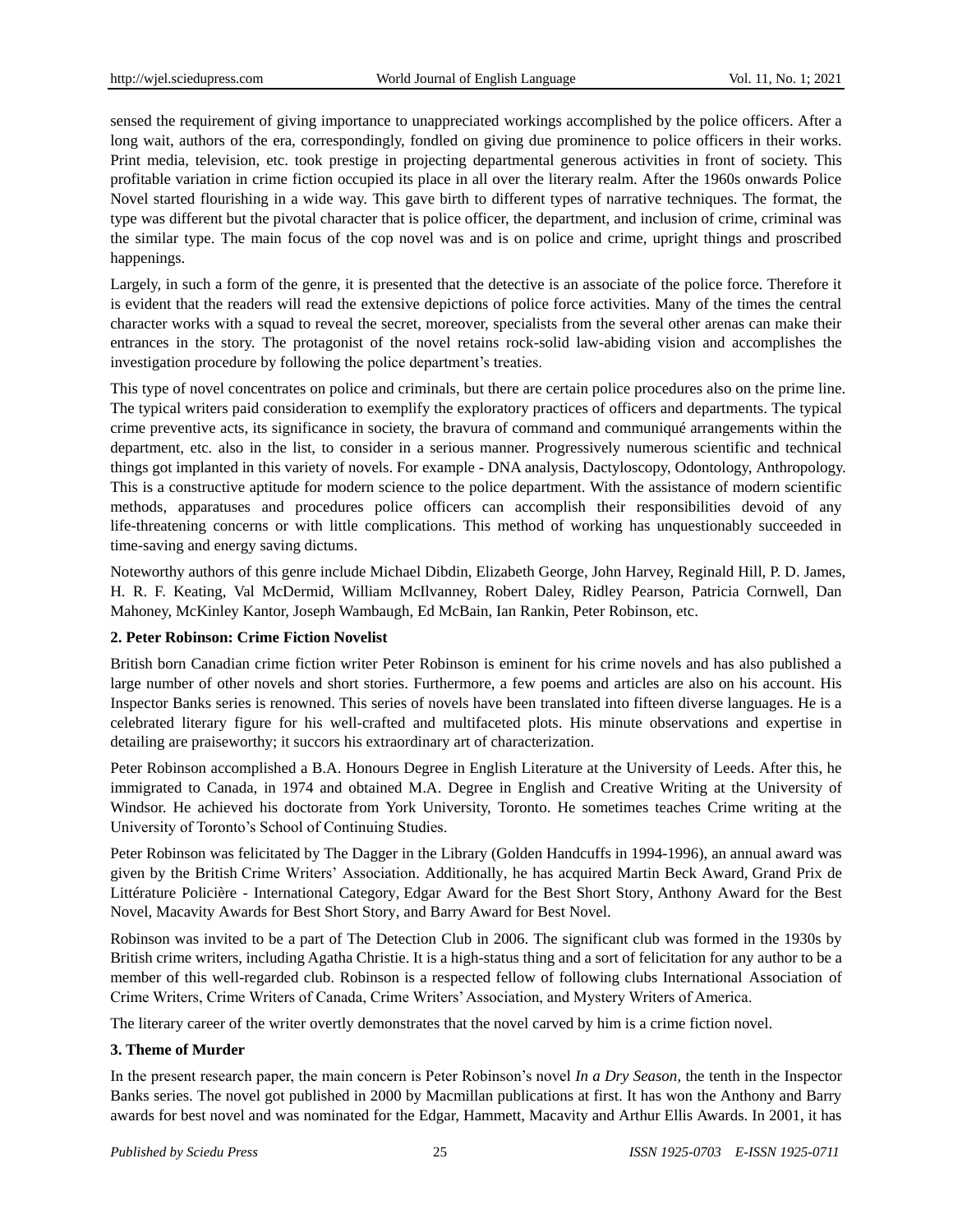sensed the requirement of giving importance to unappreciated workings accomplished by the police officers. After a long wait, authors of the era, correspondingly, fondled on giving due prominence to police officers in their works. Print media, television, etc. took prestige in projecting departmental generous activities in front of society. This profitable variation in crime fiction occupied its place in all over the literary realm. After the 1960s onwards Police Novel started flourishing in a wide way. This gave birth to different types of narrative techniques. The format, the type was different but the pivotal character that is police officer, the department, and inclusion of crime, criminal was the similar type. The main focus of the cop novel was and is on police and crime, upright things and proscribed happenings.

Largely, in such a form of the genre, it is presented that the detective is an associate of the police force. Therefore it is evident that the readers will read the extensive depictions of police force activities. Many of the times the central character works with a squad to reveal the secret, moreover, specialists from the several other arenas can make their entrances in the story. The protagonist of the novel retains rock-solid law-abiding vision and accomplishes the investigation procedure by following the police department's treaties.

This type of novel concentrates on police and criminals, but there are certain police procedures also on the prime line. The typical writers paid consideration to exemplify the exploratory practices of officers and departments. The typical crime preventive acts, its significance in society, the bravura of command and communiqué arrangements within the department, etc. also in the list, to consider in a serious manner. Progressively numerous scientific and technical things got implanted in this variety of novels. For example - DNA analysis, Dactyloscopy, Odontology, Anthropology. This is a constructive aptitude for modern science to the police department. With the assistance of modern scientific methods, apparatuses and procedures police officers can accomplish their responsibilities devoid of any life-threatening concerns or with little complications. This method of working has unquestionably succeeded in time-saving and energy saving dictums.

Noteworthy authors of this genre include Michael Dibdin, Elizabeth George, John Harvey, Reginald Hill, P. D. James, H. R. F. Keating, Val McDermid, William McIlvanney, Robert Daley, Ridley Pearson, Patricia Cornwell, Dan Mahoney, McKinley Kantor, Joseph Wambaugh, Ed McBain, Ian Rankin, Peter Robinson, etc.

#### **2. Peter Robinson: Crime Fiction Novelist**

British born Canadian crime fiction writer Peter Robinson is eminent for his crime novels and has also published a large number of other novels and short stories. Furthermore, a few poems and articles are also on his account. His Inspector Banks series is renowned. This series of novels have been translated into fifteen diverse languages. He is a celebrated literary figure for his well-crafted and multifaceted plots. His minute observations and expertise in detailing are praiseworthy; it succors his extraordinary art of characterization.

Peter Robinson accomplished a B.A. Honours Degree in English Literature at the University of Leeds. After this, he immigrated to Canada, in 1974 and obtained M.A. Degree in English and Creative Writing at the University of Windsor. He achieved his doctorate from York University, Toronto. He sometimes teaches Crime writing at the University of Toronto"s School of Continuing Studies.

Peter Robinson was felicitated by The Dagger in the Library (Golden Handcuffs in 1994-1996), an annual award was given by the British [Crime Writers" Association.](http://en.wikipedia.org/wiki/Crime_Writers%27_Association) Additionally, he has acquired Martin Beck Award, Grand Prix de Littérature Policière - International Category, Edgar Award for the Best Short Story, Anthony Award for the Best Novel, Macavity Awards for Best Short Story, and Barry Award for Best Novel.

Robinson was invited to be a part of The Detection Club in 2006. The significant club was formed in the 1930s by British crime writers, including Agatha Christie. It is a high-status thing and a sort of felicitation for any author to be a member of this well-regarded club. Robinson is a respected fellow of following clubs International Association of Crime Writers, Crime Writers of Canada, Crime Writers" Association, and Mystery Writers of America.

The literary career of the writer overtly demonstrates that the novel carved by him is a crime fiction novel.

#### **3. Theme of Murder**

In the present research paper, the main concern is Peter Robinson"s novel *In a Dry Season*, the tenth in the Inspector Banks series. The novel got published in 2000 by Macmillan publications at first. It has won the Anthony and Barry awards for best novel and was nominated for the Edgar, Hammett, Macavity and Arthur Ellis Awards. In 2001, it has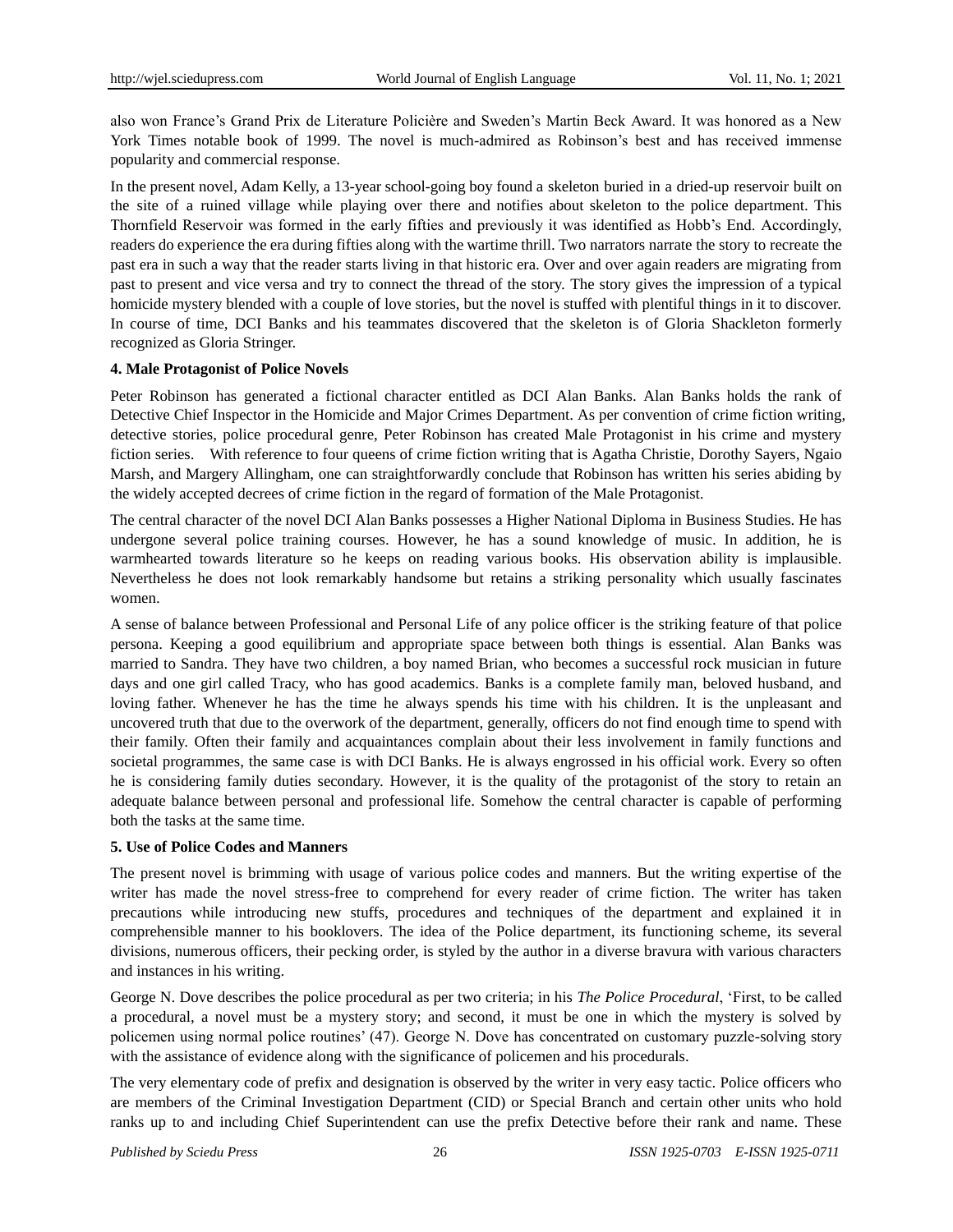also won France"s Grand Prix de Literature Policière and Sweden"s Martin Beck Award. It was honored as a New York Times notable book of 1999. The novel is much-admired as Robinson"s best and has received immense popularity and commercial response.

In the present novel, Adam Kelly, a 13-year school-going boy found a skeleton buried in a dried-up reservoir built on the site of a ruined village while playing over there and notifies about skeleton to the police department. This Thornfield Reservoir was formed in the early fifties and previously it was identified as Hobb"s End. Accordingly, readers do experience the era during fifties along with the wartime thrill. Two narrators narrate the story to recreate the past era in such a way that the reader starts living in that historic era. Over and over again readers are migrating from past to present and vice versa and try to connect the thread of the story. The story gives the impression of a typical homicide mystery blended with a couple of love stories, but the novel is stuffed with plentiful things in it to discover. In course of time, DCI Banks and his teammates discovered that the skeleton is of Gloria Shackleton formerly recognized as Gloria Stringer.

#### **4. Male Protagonist of Police Novels**

Peter Robinson has generated a fictional character entitled as DCI Alan Banks. Alan Banks holds the rank of Detective Chief Inspector in the Homicide and Major Crimes Department. As per convention of crime fiction writing, detective stories, police procedural genre, Peter Robinson has created Male Protagonist in his crime and mystery fiction series. With reference to four queens of crime fiction writing that is Agatha Christie, Dorothy Sayers, Ngaio Marsh, and Margery Allingham, one can straightforwardly conclude that Robinson has written his series abiding by the widely accepted decrees of crime fiction in the regard of formation of the Male Protagonist.

The central character of the novel DCI Alan Banks possesses a Higher National Diploma in Business Studies. He has undergone several police training courses. However, he has a sound knowledge of music. In addition, he is warmhearted towards literature so he keeps on reading various books. His observation ability is implausible. Nevertheless he does not look remarkably handsome but retains a striking personality which usually fascinates women.

A sense of balance between Professional and Personal Life of any police officer is the striking feature of that police persona. Keeping a good equilibrium and appropriate space between both things is essential. Alan Banks was married to Sandra. They have two children, a boy named Brian, who becomes a successful rock musician in future days and one girl called Tracy, who has good academics. Banks is a complete family man, beloved husband, and loving father. Whenever he has the time he always spends his time with his children. It is the unpleasant and uncovered truth that due to the overwork of the department, generally, officers do not find enough time to spend with their family. Often their family and acquaintances complain about their less involvement in family functions and societal programmes, the same case is with DCI Banks. He is always engrossed in his official work. Every so often he is considering family duties secondary. However, it is the quality of the protagonist of the story to retain an adequate balance between personal and professional life. Somehow the central character is capable of performing both the tasks at the same time.

#### **5. Use of Police Codes and Manners**

The present novel is brimming with usage of various police codes and manners. But the writing expertise of the writer has made the novel stress-free to comprehend for every reader of crime fiction. The writer has taken precautions while introducing new stuffs, procedures and techniques of the department and explained it in comprehensible manner to his booklovers. The idea of the Police department, its functioning scheme, its several divisions, numerous officers, their pecking order, is styled by the author in a diverse bravura with various characters and instances in his writing.

George N. Dove describes the police procedural as per two criteria; in his *The Police Procedural*, "First, to be called a procedural, a novel must be a mystery story; and second, it must be one in which the mystery is solved by policemen using normal police routines" (47). George N. Dove has concentrated on customary puzzle-solving story with the assistance of evidence along with the significance of policemen and his procedurals.

The very elementary code of prefix and designation is observed by the writer in very easy tactic. Police officers who are members of the Criminal Investigation Department (CID) or Special Branch and certain other units who hold ranks up to and including Chief Superintendent can use the prefix Detective before their rank and name. These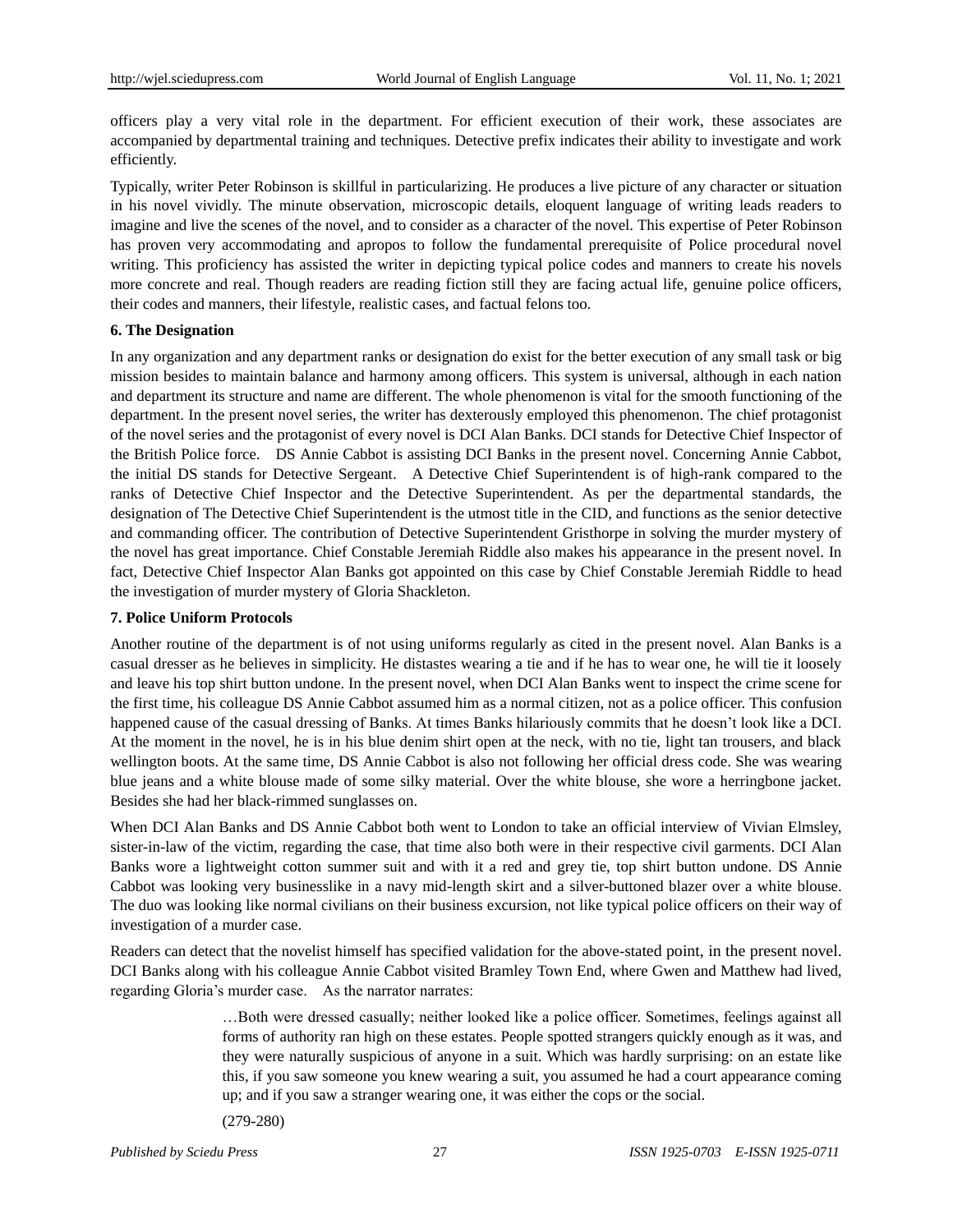officers play a very vital role in the department. For efficient execution of their work, these associates are accompanied by departmental training and techniques. Detective prefix indicates their ability to investigate and work efficiently.

Typically, writer Peter Robinson is skillful in particularizing. He produces a live picture of any character or situation in his novel vividly. The minute observation, microscopic details, eloquent language of writing leads readers to imagine and live the scenes of the novel, and to consider as a character of the novel. This expertise of Peter Robinson has proven very accommodating and apropos to follow the fundamental prerequisite of Police procedural novel writing. This proficiency has assisted the writer in depicting typical police codes and manners to create his novels more concrete and real. Though readers are reading fiction still they are facing actual life, genuine police officers, their codes and manners, their lifestyle, realistic cases, and factual felons too.

#### **6. The Designation**

In any organization and any department ranks or designation do exist for the better execution of any small task or big mission besides to maintain balance and harmony among officers. This system is universal, although in each nation and department its structure and name are different. The whole phenomenon is vital for the smooth functioning of the department. In the present novel series, the writer has dexterously employed this phenomenon. The chief protagonist of the novel series and the protagonist of every novel is DCI Alan Banks. DCI stands for Detective Chief Inspector of the British Police force. DS Annie Cabbot is assisting DCI Banks in the present novel. Concerning Annie Cabbot, the initial DS stands for Detective Sergeant. A Detective Chief Superintendent is of high-rank compared to the ranks of Detective Chief Inspector and the Detective Superintendent. As per the departmental standards, the designation of The Detective Chief Superintendent is the utmost title in the CID, and functions as the senior detective and commanding officer. The contribution of Detective Superintendent Gristhorpe in solving the murder mystery of the novel has great importance. Chief Constable Jeremiah Riddle also makes his appearance in the present novel. In fact, Detective Chief Inspector Alan Banks got appointed on this case by Chief Constable Jeremiah Riddle to head the investigation of murder mystery of Gloria Shackleton.

#### **7. Police Uniform Protocols**

Another routine of the department is of not using uniforms regularly as cited in the present novel. Alan Banks is a casual dresser as he believes in simplicity. He distastes wearing a tie and if he has to wear one, he will tie it loosely and leave his top shirt button undone. In the present novel, when DCI Alan Banks went to inspect the crime scene for the first time, his colleague DS Annie Cabbot assumed him as a normal citizen, not as a police officer. This confusion happened cause of the casual dressing of Banks. At times Banks hilariously commits that he doesn"t look like a DCI. At the moment in the novel, he is in his blue denim shirt open at the neck, with no tie, light tan trousers, and black wellington boots. At the same time, DS Annie Cabbot is also not following her official dress code. She was wearing blue jeans and a white blouse made of some silky material. Over the white blouse, she wore a herringbone jacket. Besides she had her black-rimmed sunglasses on.

When DCI Alan Banks and DS Annie Cabbot both went to London to take an official interview of Vivian Elmsley, sister-in-law of the victim, regarding the case, that time also both were in their respective civil garments. DCI Alan Banks wore a lightweight cotton summer suit and with it a red and grey tie, top shirt button undone. DS Annie Cabbot was looking very businesslike in a navy mid-length skirt and a silver-buttoned blazer over a white blouse. The duo was looking like normal civilians on their business excursion, not like typical police officers on their way of investigation of a murder case.

Readers can detect that the novelist himself has specified validation for the above-stated point, in the present novel. DCI Banks along with his colleague Annie Cabbot visited Bramley Town End, where Gwen and Matthew had lived, regarding Gloria"s murder case. As the narrator narrates:

> …Both were dressed casually; neither looked like a police officer. Sometimes, feelings against all forms of authority ran high on these estates. People spotted strangers quickly enough as it was, and they were naturally suspicious of anyone in a suit. Which was hardly surprising: on an estate like this, if you saw someone you knew wearing a suit, you assumed he had a court appearance coming up; and if you saw a stranger wearing one, it was either the cops or the social.

(279-280)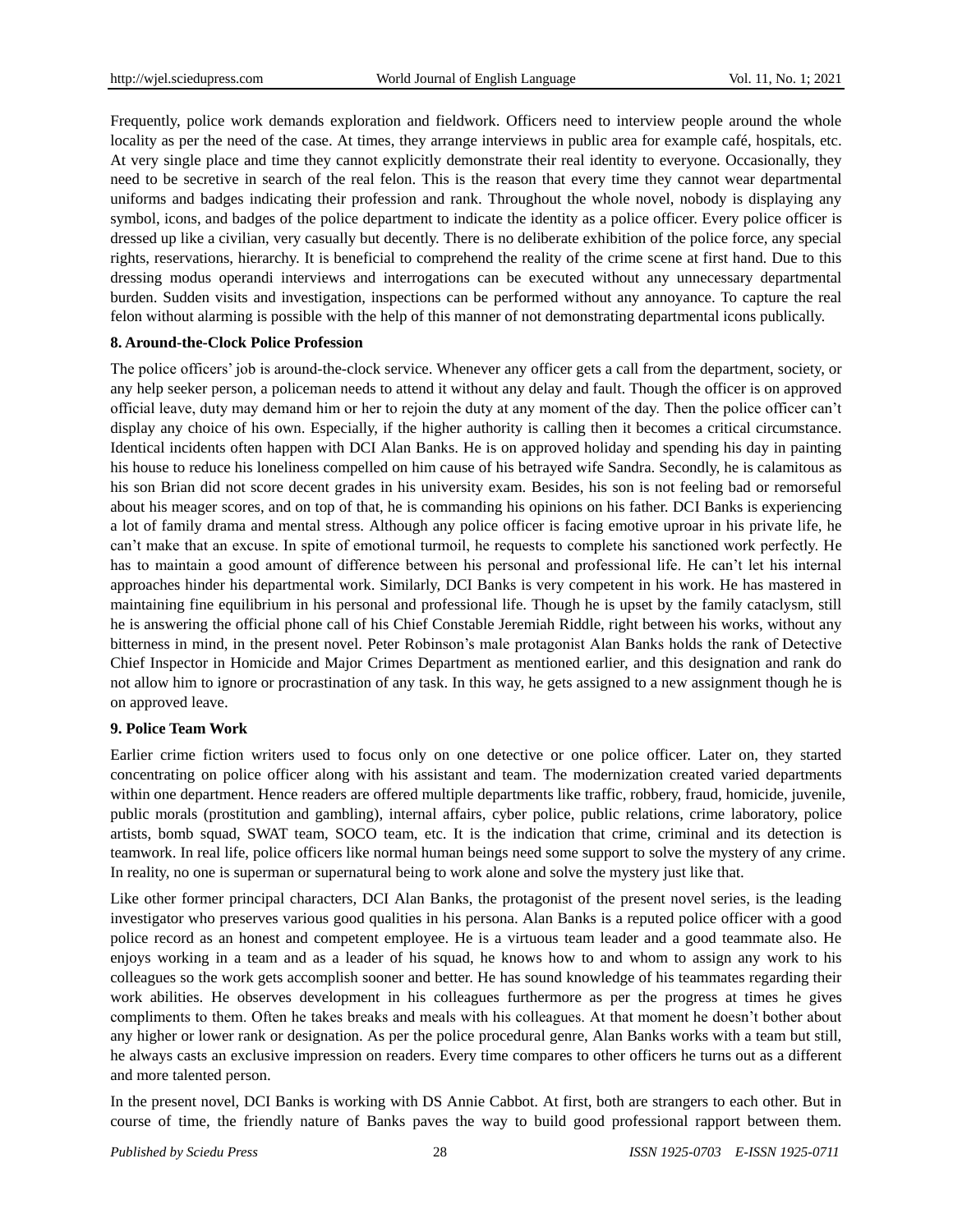Frequently, police work demands exploration and fieldwork. Officers need to interview people around the whole locality as per the need of the case. At times, they arrange interviews in public area for example caf  $\acute{\text{e}}$  hospitals, etc. At very single place and time they cannot explicitly demonstrate their real identity to everyone. Occasionally, they need to be secretive in search of the real felon. This is the reason that every time they cannot wear departmental uniforms and badges indicating their profession and rank. Throughout the whole novel, nobody is displaying any symbol, icons, and badges of the police department to indicate the identity as a police officer. Every police officer is dressed up like a civilian, very casually but decently. There is no deliberate exhibition of the police force, any special rights, reservations, hierarchy. It is beneficial to comprehend the reality of the crime scene at first hand. Due to this dressing modus operandi interviews and interrogations can be executed without any unnecessary departmental burden. Sudden visits and investigation, inspections can be performed without any annoyance. To capture the real felon without alarming is possible with the help of this manner of not demonstrating departmental icons publically.

#### **8. Around-the-Clock Police Profession**

The police officers" job is around-the-clock service. Whenever any officer gets a call from the department, society, or any help seeker person, a policeman needs to attend it without any delay and fault. Though the officer is on approved official leave, duty may demand him or her to rejoin the duty at any moment of the day. Then the police officer can"t display any choice of his own. Especially, if the higher authority is calling then it becomes a critical circumstance. Identical incidents often happen with DCI Alan Banks. He is on approved holiday and spending his day in painting his house to reduce his loneliness compelled on him cause of his betrayed wife Sandra. Secondly, he is calamitous as his son Brian did not score decent grades in his university exam. Besides, his son is not feeling bad or remorseful about his meager scores, and on top of that, he is commanding his opinions on his father. DCI Banks is experiencing a lot of family drama and mental stress. Although any police officer is facing emotive uproar in his private life, he can"t make that an excuse. In spite of emotional turmoil, he requests to complete his sanctioned work perfectly. He has to maintain a good amount of difference between his personal and professional life. He can't let his internal approaches hinder his departmental work. Similarly, DCI Banks is very competent in his work. He has mastered in maintaining fine equilibrium in his personal and professional life. Though he is upset by the family cataclysm, still he is answering the official phone call of his Chief Constable Jeremiah Riddle, right between his works, without any bitterness in mind, in the present novel. Peter Robinson"s male protagonist Alan Banks holds the rank of Detective Chief Inspector in Homicide and Major Crimes Department as mentioned earlier, and this designation and rank do not allow him to ignore or procrastination of any task. In this way, he gets assigned to a new assignment though he is on approved leave.

#### **9. Police Team Work**

Earlier crime fiction writers used to focus only on one detective or one police officer. Later on, they started concentrating on police officer along with his assistant and team. The modernization created varied departments within one department. Hence readers are offered multiple departments like traffic, robbery, fraud, homicide, juvenile, public morals (prostitution and gambling), internal affairs, cyber police, public relations, crime laboratory, police artists, bomb squad, SWAT team, SOCO team, etc. It is the indication that crime, criminal and its detection is teamwork. In real life, police officers like normal human beings need some support to solve the mystery of any crime. In reality, no one is superman or supernatural being to work alone and solve the mystery just like that.

Like other former principal characters, DCI Alan Banks, the protagonist of the present novel series, is the leading investigator who preserves various good qualities in his persona. Alan Banks is a reputed police officer with a good police record as an honest and competent employee. He is a virtuous team leader and a good teammate also. He enjoys working in a team and as a leader of his squad, he knows how to and whom to assign any work to his colleagues so the work gets accomplish sooner and better. He has sound knowledge of his teammates regarding their work abilities. He observes development in his colleagues furthermore as per the progress at times he gives compliments to them. Often he takes breaks and meals with his colleagues. At that moment he doesn"t bother about any higher or lower rank or designation. As per the police procedural genre, Alan Banks works with a team but still, he always casts an exclusive impression on readers. Every time compares to other officers he turns out as a different and more talented person.

In the present novel, DCI Banks is working with DS Annie Cabbot. At first, both are strangers to each other. But in course of time, the friendly nature of Banks paves the way to build good professional rapport between them.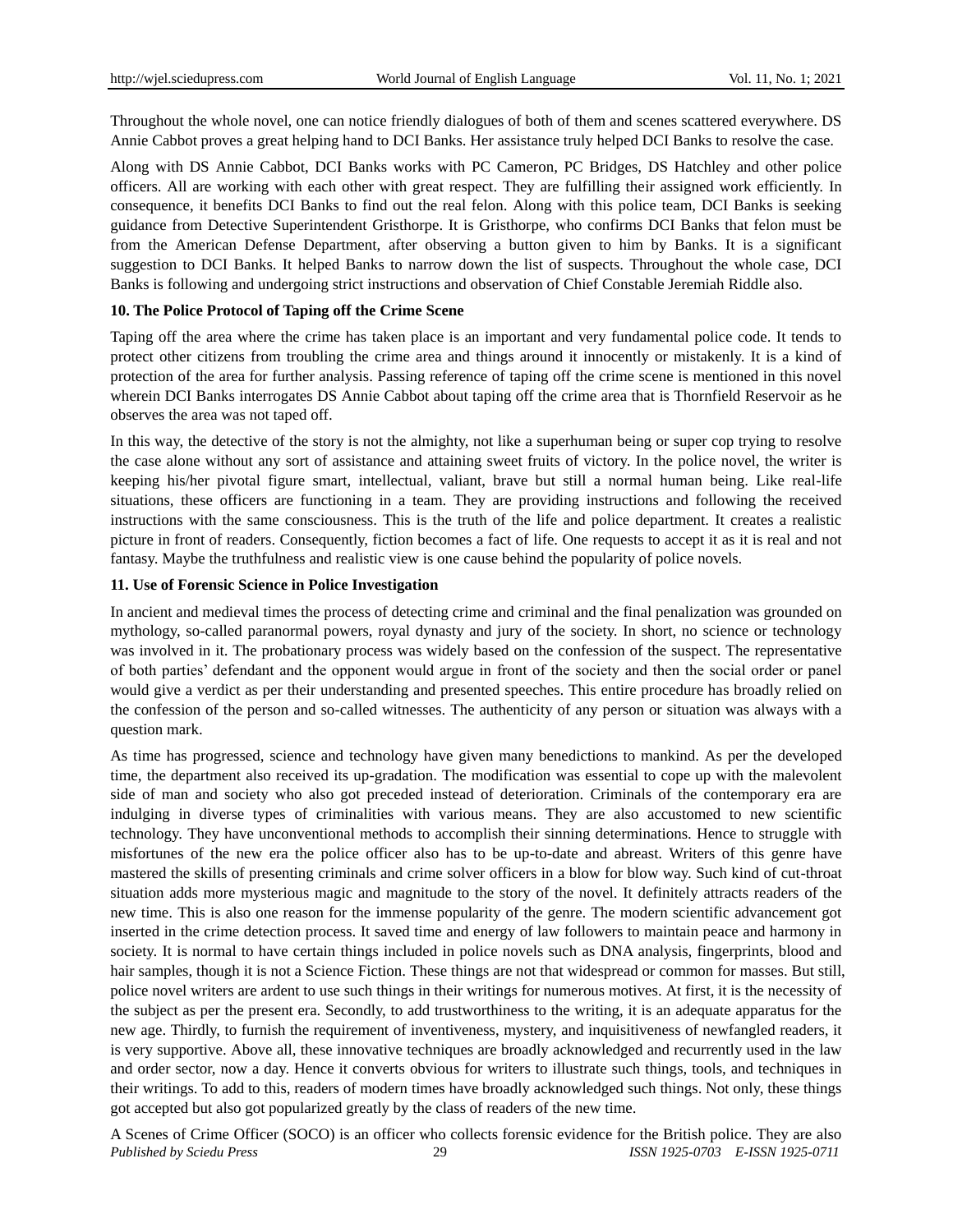Throughout the whole novel, one can notice friendly dialogues of both of them and scenes scattered everywhere. DS Annie Cabbot proves a great helping hand to DCI Banks. Her assistance truly helped DCI Banks to resolve the case.

Along with DS Annie Cabbot, DCI Banks works with PC Cameron, PC Bridges, DS Hatchley and other police officers. All are working with each other with great respect. They are fulfilling their assigned work efficiently. In consequence, it benefits DCI Banks to find out the real felon. Along with this police team, DCI Banks is seeking guidance from Detective Superintendent Gristhorpe. It is Gristhorpe, who confirms DCI Banks that felon must be from the American Defense Department, after observing a button given to him by Banks. It is a significant suggestion to DCI Banks. It helped Banks to narrow down the list of suspects. Throughout the whole case, DCI Banks is following and undergoing strict instructions and observation of Chief Constable Jeremiah Riddle also.

#### **10. The Police Protocol of Taping off the Crime Scene**

Taping off the area where the crime has taken place is an important and very fundamental police code. It tends to protect other citizens from troubling the crime area and things around it innocently or mistakenly. It is a kind of protection of the area for further analysis. Passing reference of taping off the crime scene is mentioned in this novel wherein DCI Banks interrogates DS Annie Cabbot about taping off the crime area that is Thornfield Reservoir as he observes the area was not taped off.

In this way, the detective of the story is not the almighty, not like a superhuman being or super cop trying to resolve the case alone without any sort of assistance and attaining sweet fruits of victory. In the police novel, the writer is keeping his/her pivotal figure smart, intellectual, valiant, brave but still a normal human being. Like real-life situations, these officers are functioning in a team. They are providing instructions and following the received instructions with the same consciousness. This is the truth of the life and police department. It creates a realistic picture in front of readers. Consequently, fiction becomes a fact of life. One requests to accept it as it is real and not fantasy. Maybe the truthfulness and realistic view is one cause behind the popularity of police novels.

#### **11. Use of Forensic Science in Police Investigation**

In ancient and medieval times the process of detecting crime and criminal and the final penalization was grounded on mythology, so-called paranormal powers, royal dynasty and jury of the society. In short, no science or technology was involved in it. The probationary process was widely based on the confession of the suspect. The representative of both parties" defendant and the opponent would argue in front of the society and then the social order or panel would give a verdict as per their understanding and presented speeches. This entire procedure has broadly relied on the confession of the person and so-called witnesses. The authenticity of any person or situation was always with a question mark.

As time has progressed, science and technology have given many benedictions to mankind. As per the developed time, the department also received its up-gradation. The modification was essential to cope up with the malevolent side of man and society who also got preceded instead of deterioration. Criminals of the contemporary era are indulging in diverse types of criminalities with various means. They are also accustomed to new scientific technology. They have unconventional methods to accomplish their sinning determinations. Hence to struggle with misfortunes of the new era the police officer also has to be up-to-date and abreast. Writers of this genre have mastered the skills of presenting criminals and crime solver officers in a blow for blow way. Such kind of cut-throat situation adds more mysterious magic and magnitude to the story of the novel. It definitely attracts readers of the new time. This is also one reason for the immense popularity of the genre. The modern scientific advancement got inserted in the crime detection process. It saved time and energy of law followers to maintain peace and harmony in society. It is normal to have certain things included in police novels such as DNA analysis, fingerprints, blood and hair samples, though it is not a Science Fiction. These things are not that widespread or common for masses. But still, police novel writers are ardent to use such things in their writings for numerous motives. At first, it is the necessity of the subject as per the present era. Secondly, to add trustworthiness to the writing, it is an adequate apparatus for the new age. Thirdly, to furnish the requirement of inventiveness, mystery, and inquisitiveness of newfangled readers, it is very supportive. Above all, these innovative techniques are broadly acknowledged and recurrently used in the law and order sector, now a day. Hence it converts obvious for writers to illustrate such things, tools, and techniques in their writings. To add to this, readers of modern times have broadly acknowledged such things. Not only, these things got accepted but also got popularized greatly by the class of readers of the new time.

*Published by Sciedu Press* 29 *ISSN 1925-0703 E-ISSN 1925-0711* A Scenes of Crime Officer (SOCO) is an officer who collects forensic evidence for the British police. They are also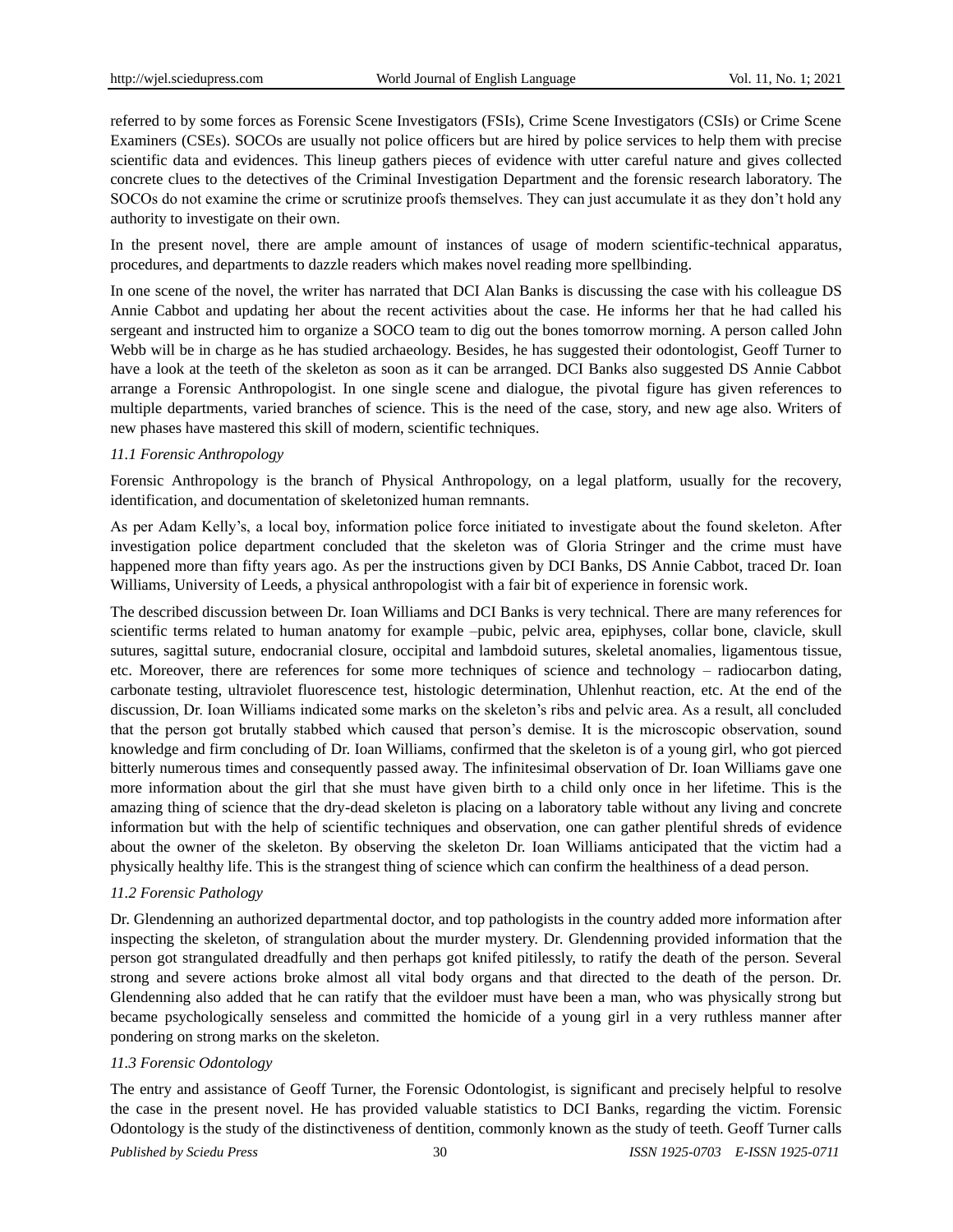referred to by some forces as Forensic Scene Investigators (FSIs), Crime Scene Investigators (CSIs) or Crime Scene Examiners (CSEs). SOCOs are usually not police officers but are hired by police services to help them with precise scientific data and evidences. This lineup gathers pieces of evidence with utter careful nature and gives collected concrete clues to the detectives of the Criminal Investigation Department and the forensic research laboratory. The SOCOs do not examine the crime or scrutinize proofs themselves. They can just accumulate it as they don"t hold any authority to investigate on their own.

In the present novel, there are ample amount of instances of usage of modern scientific-technical apparatus, procedures, and departments to dazzle readers which makes novel reading more spellbinding.

In one scene of the novel, the writer has narrated that DCI Alan Banks is discussing the case with his colleague DS Annie Cabbot and updating her about the recent activities about the case. He informs her that he had called his sergeant and instructed him to organize a SOCO team to dig out the bones tomorrow morning. A person called John Webb will be in charge as he has studied archaeology. Besides, he has suggested their odontologist, Geoff Turner to have a look at the teeth of the skeleton as soon as it can be arranged. DCI Banks also suggested DS Annie Cabbot arrange a Forensic Anthropologist. In one single scene and dialogue, the pivotal figure has given references to multiple departments, varied branches of science. This is the need of the case, story, and new age also. Writers of new phases have mastered this skill of modern, scientific techniques.

#### *11.1 Forensic Anthropology*

Forensic Anthropology is the branch of Physical Anthropology, on a legal platform, usually for the recovery, identification, and documentation of skeletonized human remnants.

As per Adam Kelly"s, a local boy, information police force initiated to investigate about the found skeleton. After investigation police department concluded that the skeleton was of Gloria Stringer and the crime must have happened more than fifty years ago. As per the instructions given by DCI Banks, DS Annie Cabbot, traced Dr. Ioan Williams, University of Leeds, a physical anthropologist with a fair bit of experience in forensic work.

The described discussion between Dr. Ioan Williams and DCI Banks is very technical. There are many references for scientific terms related to human anatomy for example –pubic, pelvic area, epiphyses, collar bone, clavicle, skull sutures, sagittal suture, endocranial closure, occipital and lambdoid sutures, skeletal anomalies, ligamentous tissue, etc. Moreover, there are references for some more techniques of science and technology – radiocarbon dating, carbonate testing, ultraviolet fluorescence test, histologic determination, Uhlenhut reaction, etc. At the end of the discussion, Dr. Ioan Williams indicated some marks on the skeleton"s ribs and pelvic area. As a result, all concluded that the person got brutally stabbed which caused that person"s demise. It is the microscopic observation, sound knowledge and firm concluding of Dr. Ioan Williams, confirmed that the skeleton is of a young girl, who got pierced bitterly numerous times and consequently passed away. The infinitesimal observation of Dr. Ioan Williams gave one more information about the girl that she must have given birth to a child only once in her lifetime. This is the amazing thing of science that the dry-dead skeleton is placing on a laboratory table without any living and concrete information but with the help of scientific techniques and observation, one can gather plentiful shreds of evidence about the owner of the skeleton. By observing the skeleton Dr. Ioan Williams anticipated that the victim had a physically healthy life. This is the strangest thing of science which can confirm the healthiness of a dead person.

#### *11.2 Forensic Pathology*

Dr. Glendenning an authorized departmental doctor, and top pathologists in the country added more information after inspecting the skeleton, of strangulation about the murder mystery. Dr. Glendenning provided information that the person got strangulated dreadfully and then perhaps got knifed pitilessly, to ratify the death of the person. Several strong and severe actions broke almost all vital body organs and that directed to the death of the person. Dr. Glendenning also added that he can ratify that the evildoer must have been a man, who was physically strong but became psychologically senseless and committed the homicide of a young girl in a very ruthless manner after pondering on strong marks on the skeleton.

#### *11.3 Forensic Odontology*

The entry and assistance of Geoff Turner, the Forensic Odontologist, is significant and precisely helpful to resolve the case in the present novel. He has provided valuable statistics to DCI Banks, regarding the victim. Forensic Odontology is the study of the distinctiveness of dentition, commonly known as the study of teeth. Geoff Turner calls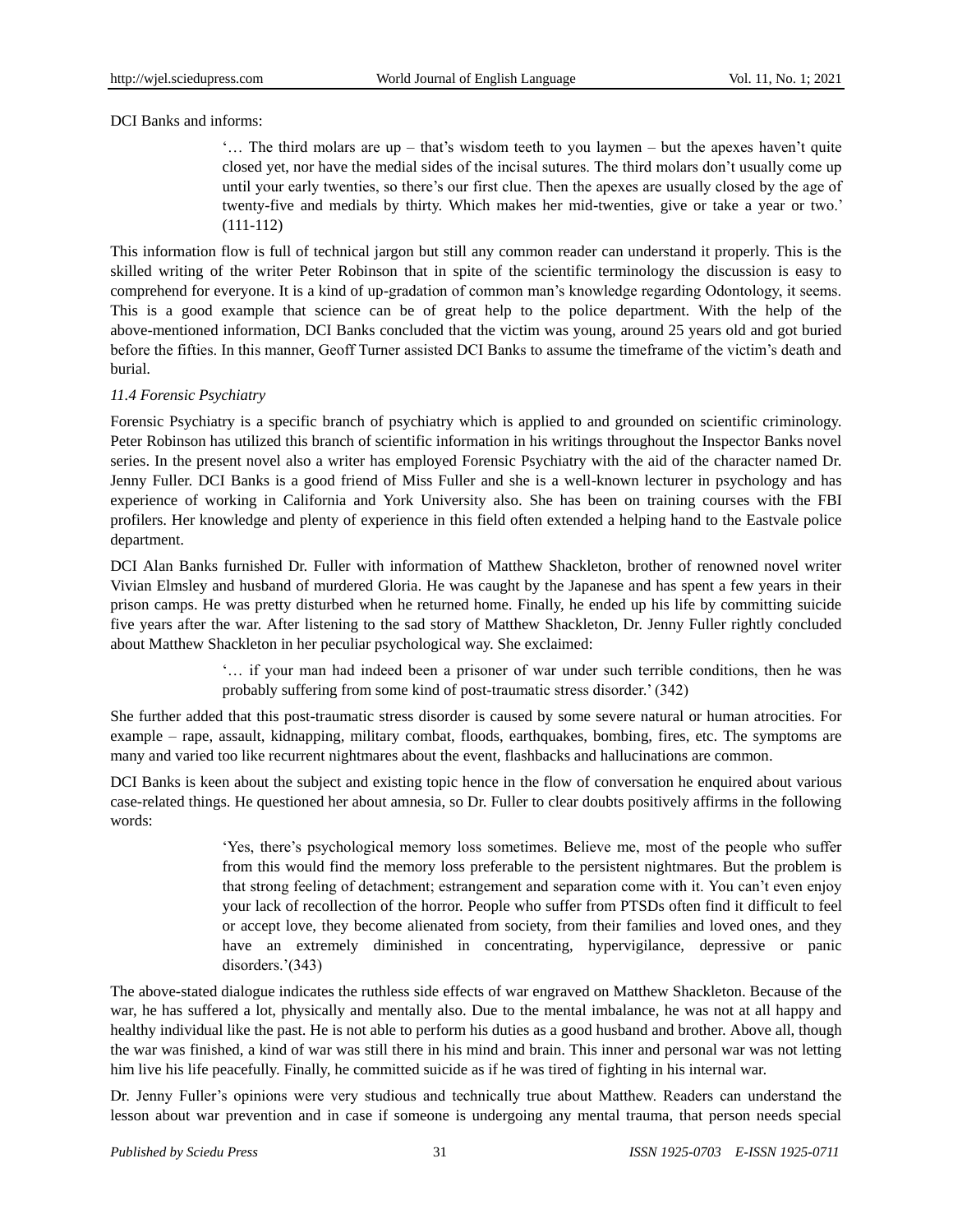DCI Banks and informs:

"... The third molars are  $up$  – that's wisdom teeth to you laymen – but the apexes haven't quite closed yet, nor have the medial sides of the incisal sutures. The third molars don"t usually come up until your early twenties, so there"s our first clue. Then the apexes are usually closed by the age of twenty-five and medials by thirty. Which makes her mid-twenties, give or take a year or two." (111-112)

This information flow is full of technical jargon but still any common reader can understand it properly. This is the skilled writing of the writer Peter Robinson that in spite of the scientific terminology the discussion is easy to comprehend for everyone. It is a kind of up-gradation of common man"s knowledge regarding Odontology, it seems. This is a good example that science can be of great help to the police department. With the help of the above-mentioned information, DCI Banks concluded that the victim was young, around 25 years old and got buried before the fifties. In this manner, Geoff Turner assisted DCI Banks to assume the timeframe of the victim"s death and burial.

# *11.4 Forensic Psychiatry*

Forensic Psychiatry is a specific branch of psychiatry which is applied to and grounded on scientific criminology. Peter Robinson has utilized this branch of scientific information in his writings throughout the Inspector Banks novel series. In the present novel also a writer has employed Forensic Psychiatry with the aid of the character named Dr. Jenny Fuller. DCI Banks is a good friend of Miss Fuller and she is a well-known lecturer in psychology and has experience of working in California and York University also. She has been on training courses with the FBI profilers. Her knowledge and plenty of experience in this field often extended a helping hand to the Eastvale police department.

DCI Alan Banks furnished Dr. Fuller with information of Matthew Shackleton, brother of renowned novel writer Vivian Elmsley and husband of murdered Gloria. He was caught by the Japanese and has spent a few years in their prison camps. He was pretty disturbed when he returned home. Finally, he ended up his life by committing suicide five years after the war. After listening to the sad story of Matthew Shackleton, Dr. Jenny Fuller rightly concluded about Matthew Shackleton in her peculiar psychological way. She exclaimed:

> "… if your man had indeed been a prisoner of war under such terrible conditions, then he was probably suffering from some kind of post-traumatic stress disorder." (342)

She further added that this post-traumatic stress disorder is caused by some severe natural or human atrocities. For example – rape, assault, kidnapping, military combat, floods, earthquakes, bombing, fires, etc. The symptoms are many and varied too like recurrent nightmares about the event, flashbacks and hallucinations are common.

DCI Banks is keen about the subject and existing topic hence in the flow of conversation he enquired about various case-related things. He questioned her about amnesia, so Dr. Fuller to clear doubts positively affirms in the following words:

> "Yes, there"s psychological memory loss sometimes. Believe me, most of the people who suffer from this would find the memory loss preferable to the persistent nightmares. But the problem is that strong feeling of detachment; estrangement and separation come with it. You can"t even enjoy your lack of recollection of the horror. People who suffer from PTSDs often find it difficult to feel or accept love, they become alienated from society, from their families and loved ones, and they have an extremely diminished in concentrating, hypervigilance, depressive or panic disorders.'(343)

The above-stated dialogue indicates the ruthless side effects of war engraved on Matthew Shackleton. Because of the war, he has suffered a lot, physically and mentally also. Due to the mental imbalance, he was not at all happy and healthy individual like the past. He is not able to perform his duties as a good husband and brother. Above all, though the war was finished, a kind of war was still there in his mind and brain. This inner and personal war was not letting him live his life peacefully. Finally, he committed suicide as if he was tired of fighting in his internal war.

Dr. Jenny Fuller"s opinions were very studious and technically true about Matthew. Readers can understand the lesson about war prevention and in case if someone is undergoing any mental trauma, that person needs special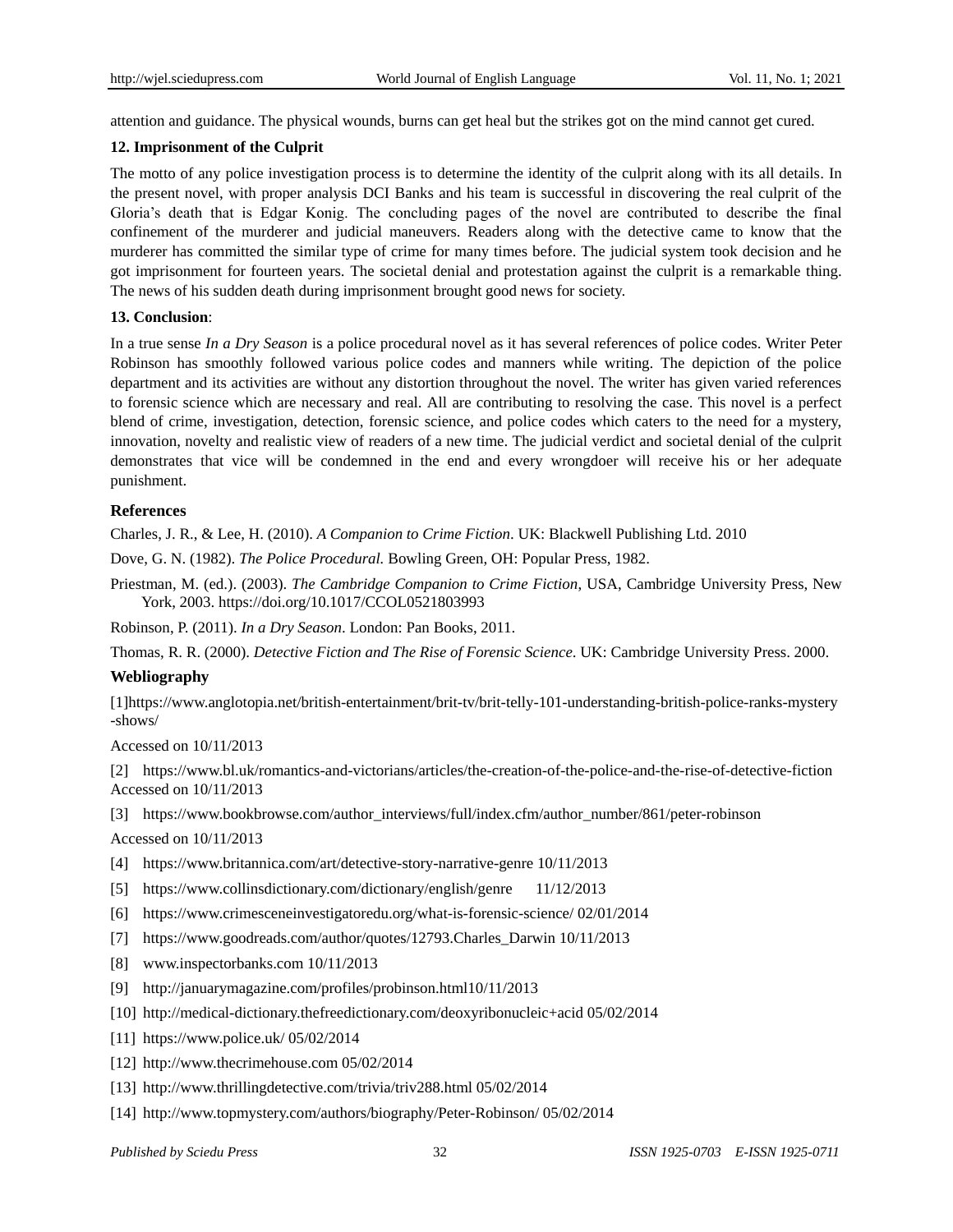attention and guidance. The physical wounds, burns can get heal but the strikes got on the mind cannot get cured.

### **12. Imprisonment of the Culprit**

The motto of any police investigation process is to determine the identity of the culprit along with its all details. In the present novel, with proper analysis DCI Banks and his team is successful in discovering the real culprit of the Gloria"s death that is Edgar Konig. The concluding pages of the novel are contributed to describe the final confinement of the murderer and judicial maneuvers. Readers along with the detective came to know that the murderer has committed the similar type of crime for many times before. The judicial system took decision and he got imprisonment for fourteen years. The societal denial and protestation against the culprit is a remarkable thing. The news of his sudden death during imprisonment brought good news for society.

#### **13. Conclusion**:

In a true sense *In a Dry Season* is a police procedural novel as it has several references of police codes. Writer Peter Robinson has smoothly followed various police codes and manners while writing. The depiction of the police department and its activities are without any distortion throughout the novel. The writer has given varied references to forensic science which are necessary and real. All are contributing to resolving the case. This novel is a perfect blend of crime, investigation, detection, forensic science, and police codes which caters to the need for a mystery, innovation, novelty and realistic view of readers of a new time. The judicial verdict and societal denial of the culprit demonstrates that vice will be condemned in the end and every wrongdoer will receive his or her adequate punishment.

# **References**

Charles, J. R., & Lee, H. (2010). *A Companion to Crime Fiction*. UK: Blackwell Publishing Ltd. 2010

Dove, G. N. (1982). *The Police Procedural.* Bowling Green, OH: Popular Press, 1982.

Priestman, M. (ed.). (2003). *The Cambridge Companion to Crime Fiction*, USA, Cambridge University Press, New York, 2003. https://doi.org/10.1017/CCOL0521803993

Robinson, P. (2011). *In a Dry Season*. London: Pan Books, 2011.

Thomas, R. R. (2000). *Detective Fiction and The Rise of Forensic Science*. UK: Cambridge University Press. 2000.

#### **Webliography**

[1[\]https://www.anglotopia.net/british-entertainment/brit-tv/brit-telly-101-understanding-b](https://www.anglotopia.net/british-entertainment/brit-tv/brit-telly-101-understanding-)ritish-police-ranks-mystery -shows/

Accessed on 10/11/2013

[2] [https://www.bl.uk/romantics-and-victorians/articles/the-creation-of-the-police-and-the-r](https://www.bl.uk/romantics-and-victorians/articles/the-creation-of-the-police-and-the-)ise-of-detective-fiction Accessed on 10/11/2013

[3] [https://www.bookbrowse.com/author\\_interviews/full/index.cfm/author\\_number/861/peter-r](https://www.bookbrowse.com/author_interviews/full/index.cfm/author_number/861/peter-)obinson

Accessed on 10/11/2013

- [4] https://www.britannica.com/art/detective-story-narrative-genre 10/11/2013
- [5] https://www.collinsdictionary.com/dictionary/english/genre 11/12/2013
- [6] https://www.crimesceneinvestigatoredu.org/what-is-forensic-science/ 02/01/2014
- [7] https://www.goodreads.com/author/quotes/12793.Charles\_Darwin 10/11/2013
- [8] www.inspectorbanks.com 10/11/2013
- [9] http://januarymagazine.com/profiles/probinson.html10/11/2013
- [10] http://medical-dictionary.thefreedictionary.com/deoxyribonucleic+acid 05/02/2014
- [11] https://www.police.uk/ 05/02/2014
- [12] http://www.thecrimehouse.com 05/02/2014
- [13] http://www.thrillingdetective.com/trivia/triv288.html 05/02/2014
- [14] http://www.topmystery.com/authors/biography/Peter-Robinson/ 05/02/2014